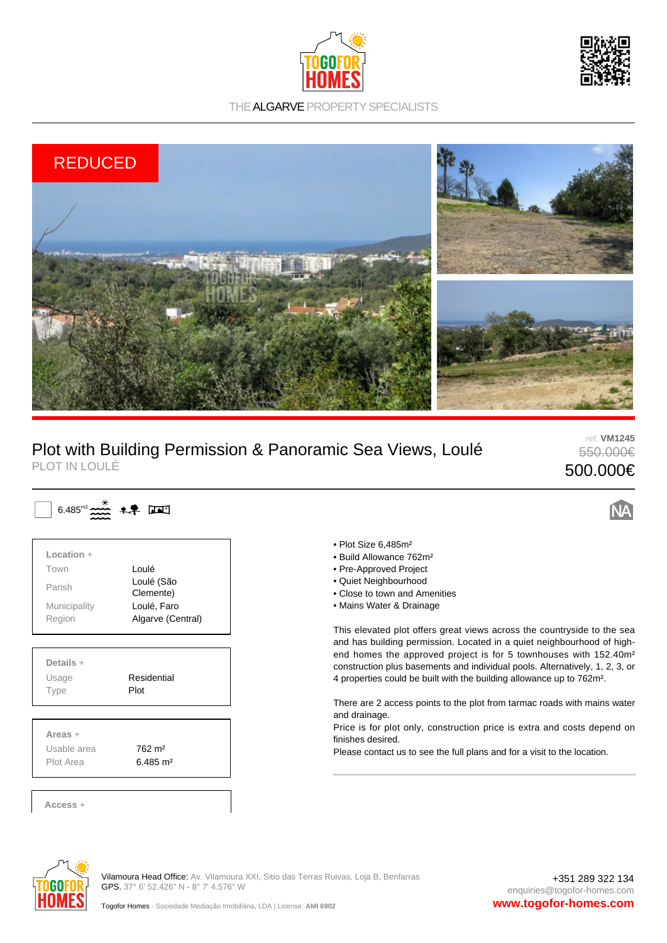



THE ALGARVE PROPERTY SPECIALISTS



## Plot with Building Permission & Panoramic Sea Views, Loulé PLOT IN LOULÉ

ref. **VM1245** 550.000€ 500.000€

| Location +    |                         |  |
|---------------|-------------------------|--|
| Town          | Loulé                   |  |
| Parish        | Loulé (São<br>Clemente) |  |
| Municipality  | Loulé, Faro             |  |
| Region        | Algarve (Central)       |  |
| Usage<br>Type | Residential<br>Plot     |  |
| Areas $+$     |                         |  |
| Usable area   | 762 m <sup>2</sup>      |  |
| Plot Area     | $6.485 \text{ m}^2$     |  |

 $\mathbf{u}$ 

- Plot Size 6,485m²
- Build Allowance 762m²
- Pre-Approved Project
- Quiet Neighbourhood
- Close to town and Amenities
- Mains Water & Drainage

This elevated plot offers great views across the countryside to the sea and has building permission. Located in a quiet neighbourhood of highend homes the approved project is for 5 townhouses with 152.40m² construction plus basements and individual pools. Alternatively, 1, 2, 3, or 4 properties could be built with the building allowance up to 762m².

There are 2 access points to the plot from tarmac roads with mains water and drainage.

Price is for plot only, construction price is extra and costs depend on finishes desired.

Please contact us to see the full plans and for a visit to the location.



Vilamoura Head Office: Av. Vilamoura XXI, Sitio das Terras Ruivas, Loja B, Benfarras GPS. 37° 6' 52.426" N - 8° 7' 4.576" W

+351 289 322 134 enquiries@togofor-homes.com **www.togofor-homes.com**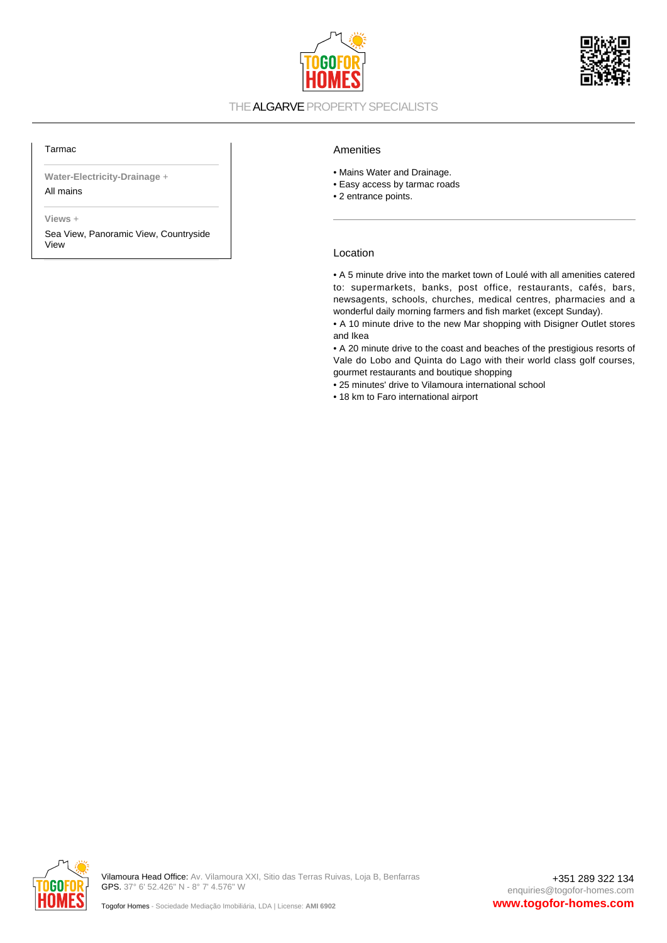



### THE ALGARVE PROPERTY SPECIALISTS

#### Tarmac

**Water-Electricity-Drainage** + All mains

**Views** +

Sea View, Panoramic View, Countryside View

#### Amenities

- Mains Water and Drainage.
- Easy access by tarmac roads
- 2 entrance points.

#### Location

• A 5 minute drive into the market town of Loulé with all amenities catered to: supermarkets, banks, post office, restaurants, cafés, bars, newsagents, schools, churches, medical centres, pharmacies and a wonderful daily morning farmers and fish market (except Sunday).

• A 10 minute drive to the new Mar shopping with Disigner Outlet stores and Ikea

• A 20 minute drive to the coast and beaches of the prestigious resorts of Vale do Lobo and Quinta do Lago with their world class golf courses, gourmet restaurants and boutique shopping

• 25 minutes' drive to Vilamoura international school

• 18 km to Faro international airport